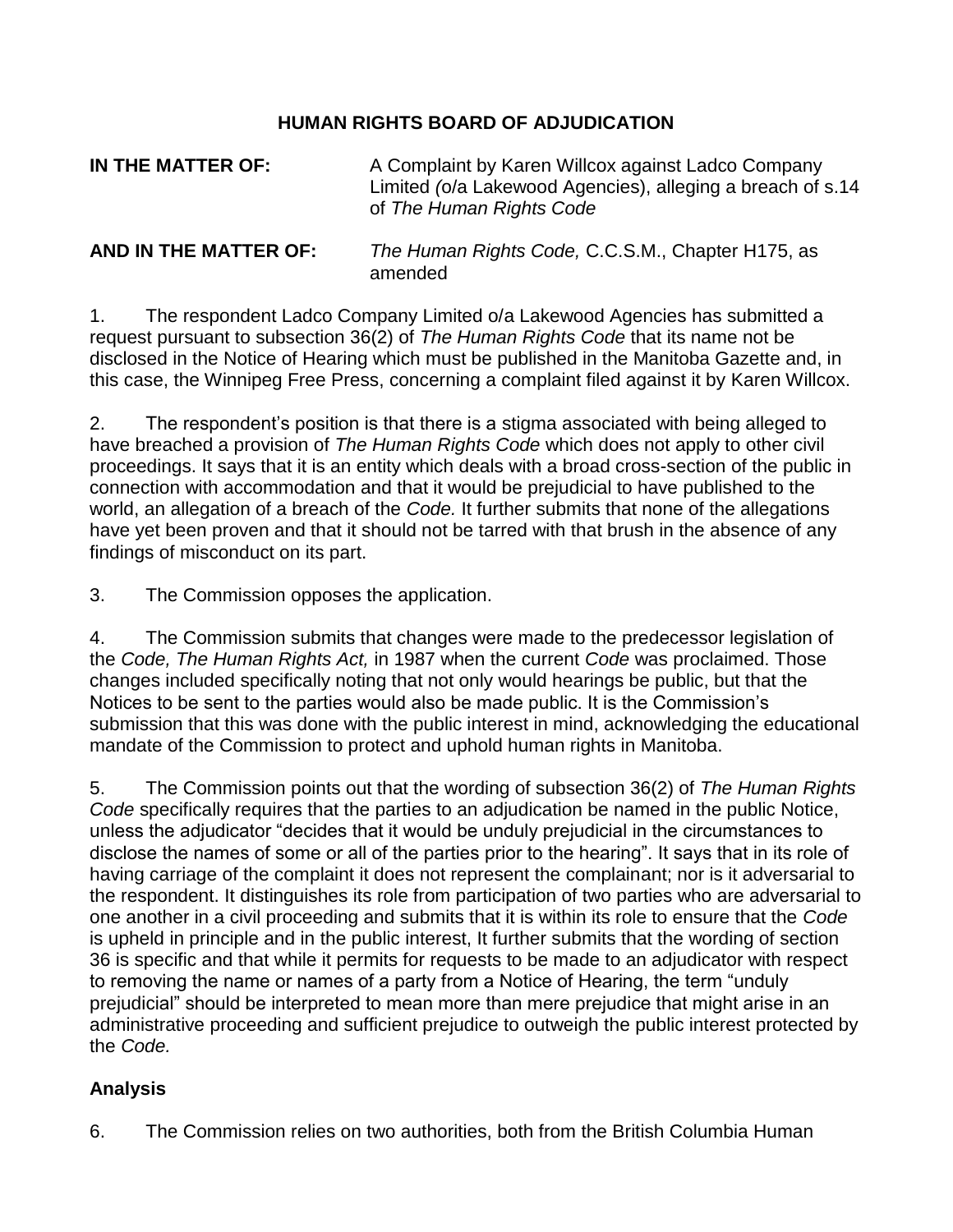## **HUMAN RIGHTS BOARD OF ADJUDICATION**

| IN THE MATTER OF:     | A Complaint by Karen Willcox against Ladco Company<br>Limited (o/a Lakewood Agencies), alleging a breach of s.14<br>of The Human Rights Code |
|-----------------------|----------------------------------------------------------------------------------------------------------------------------------------------|
| AND IN THE MATTER OF: | The Human Rights Code, C.C.S.M., Chapter H175, as<br>amended                                                                                 |

1. The respondent Ladco Company Limited o/a Lakewood Agencies has submitted a request pursuant to subsection 36(2) of *The Human Rights Code* that its name not be disclosed in the Notice of Hearing which must be published in the Manitoba Gazette and, in this case, the Winnipeg Free Press, concerning a complaint filed against it by Karen Willcox.

2. The respondent's position is that there is a stigma associated with being alleged to have breached a provision of *The Human Rights Code* which does not apply to other civil proceedings. It says that it is an entity which deals with a broad cross-section of the public in connection with accommodation and that it would be prejudicial to have published to the world, an allegation of a breach of the *Code.* It further submits that none of the allegations have yet been proven and that it should not be tarred with that brush in the absence of any findings of misconduct on its part.

3. The Commission opposes the application.

4. The Commission submits that changes were made to the predecessor legislation of the *Code, The Human Rights Act,* in 1987 when the current *Code* was proclaimed. Those changes included specifically noting that not only would hearings be public, but that the Notices to be sent to the parties would also be made public. It is the Commission's submission that this was done with the public interest in mind, acknowledging the educational mandate of the Commission to protect and uphold human rights in Manitoba.

5. The Commission points out that the wording of subsection 36(2) of *The Human Rights Code* specifically requires that the parties to an adjudication be named in the public Notice, unless the adjudicator "decides that it would be unduly prejudicial in the circumstances to disclose the names of some or all of the parties prior to the hearing". It says that in its role of having carriage of the complaint it does not represent the complainant; nor is it adversarial to the respondent. It distinguishes its role from participation of two parties who are adversarial to one another in a civil proceeding and submits that it is within its role to ensure that the *Code*  is upheld in principle and in the public interest, It further submits that the wording of section 36 is specific and that while it permits for requests to be made to an adjudicator with respect to removing the name or names of a party from a Notice of Hearing, the term "unduly prejudicial" should be interpreted to mean more than mere prejudice that might arise in an administrative proceeding and sufficient prejudice to outweigh the public interest protected by the *Code.* 

## **Analysis**

6. The Commission relies on two authorities, both from the British Columbia Human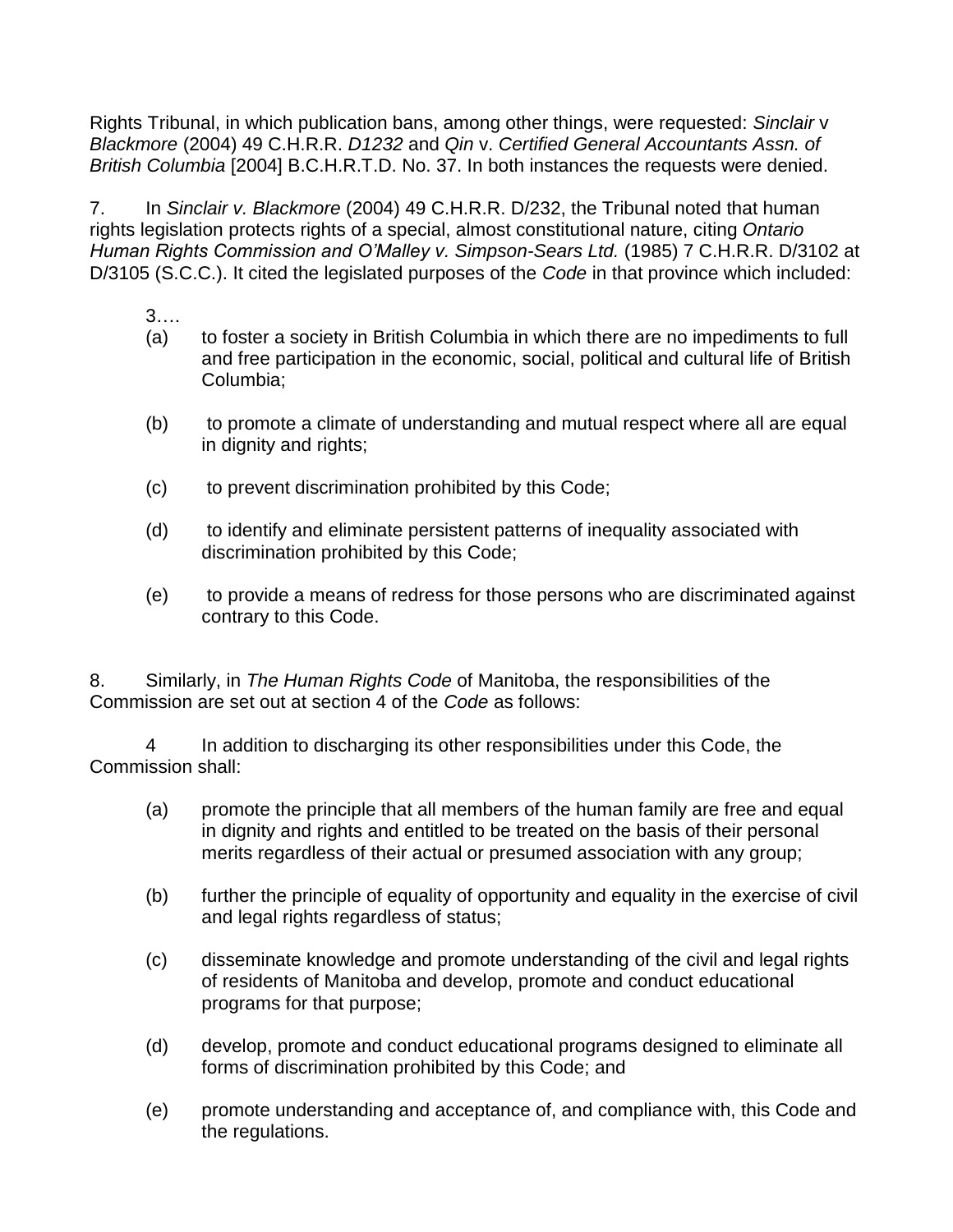Rights Tribunal, in which publication bans, among other things, were requested: *Sinclair* v *Blackmore* (2004) 49 C.H.R.R. *D1232* and *Qin* v. *Certified General Accountants Assn. of British Columbia* [2004] B.C.H.R.T.D. No. 37. In both instances the requests were denied.

7. In *Sinclair v. Blackmore* (2004) 49 C.H.R.R. D/232, the Tribunal noted that human rights legislation protects rights of a special, almost constitutional nature, citing *Ontario Human Rights Commission and O'Malley v. Simpson-Sears Ltd.* (1985) 7 C.H.R.R. D/3102 at D/3105 (S.C.C.). It cited the legislated purposes of the *Code* in that province which included:

3….

- (a) to foster a society in British Columbia in which there are no impediments to full and free participation in the economic, social, political and cultural life of British Columbia;
- (b) to promote a climate of understanding and mutual respect where all are equal in dignity and rights;
- (c) to prevent discrimination prohibited by this Code;
- (d) to identify and eliminate persistent patterns of inequality associated with discrimination prohibited by this Code;
- (e) to provide a means of redress for those persons who are discriminated against contrary to this Code.

8. Similarly, in *The Human Rights Code* of Manitoba, the responsibilities of the Commission are set out at section 4 of the *Code* as follows:

4 In addition to discharging its other responsibilities under this Code, the Commission shall:

- (a) promote the principle that all members of the human family are free and equal in dignity and rights and entitled to be treated on the basis of their personal merits regardless of their actual or presumed association with any group;
- (b) further the principle of equality of opportunity and equality in the exercise of civil and legal rights regardless of status;
- (c) disseminate knowledge and promote understanding of the civil and legal rights of residents of Manitoba and develop, promote and conduct educational programs for that purpose;
- (d) develop, promote and conduct educational programs designed to eliminate all forms of discrimination prohibited by this Code; and
- (e) promote understanding and acceptance of, and compliance with, this Code and the regulations.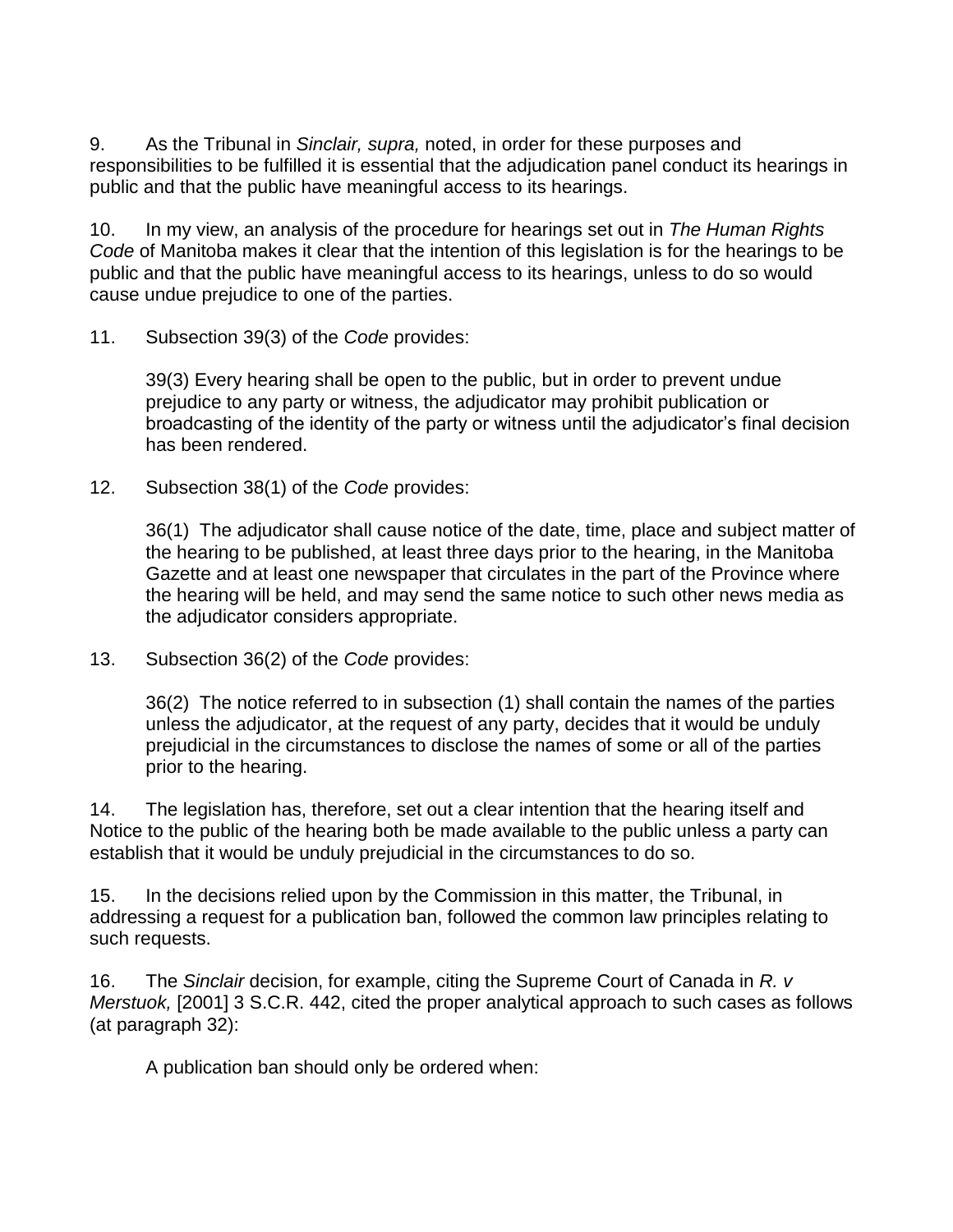9. As the Tribunal in *Sinclair, supra,* noted, in order for these purposes and responsibilities to be fulfilled it is essential that the adjudication panel conduct its hearings in public and that the public have meaningful access to its hearings.

10. In my view, an analysis of the procedure for hearings set out in *The Human Rights Code* of Manitoba makes it clear that the intention of this legislation is for the hearings to be public and that the public have meaningful access to its hearings, unless to do so would cause undue prejudice to one of the parties.

11. Subsection 39(3) of the *Code* provides:

39(3) Every hearing shall be open to the public, but in order to prevent undue prejudice to any party or witness, the adjudicator may prohibit publication or broadcasting of the identity of the party or witness until the adjudicator's final decision has been rendered.

12. Subsection 38(1) of the *Code* provides:

36(1) The adjudicator shall cause notice of the date, time, place and subject matter of the hearing to be published, at least three days prior to the hearing, in the Manitoba Gazette and at least one newspaper that circulates in the part of the Province where the hearing will be held, and may send the same notice to such other news media as the adjudicator considers appropriate.

13. Subsection 36(2) of the *Code* provides:

36(2) The notice referred to in subsection (1) shall contain the names of the parties unless the adjudicator, at the request of any party, decides that it would be unduly prejudicial in the circumstances to disclose the names of some or all of the parties prior to the hearing.

14. The legislation has, therefore, set out a clear intention that the hearing itself and Notice to the public of the hearing both be made available to the public unless a party can establish that it would be unduly prejudicial in the circumstances to do so.

15. In the decisions relied upon by the Commission in this matter, the Tribunal, in addressing a request for a publication ban, followed the common law principles relating to such requests.

16. The *Sinclair* decision, for example, citing the Supreme Court of Canada in *R. v Merstuok,* [2001] 3 S.C.R. 442, cited the proper analytical approach to such cases as follows (at paragraph 32):

A publication ban should only be ordered when: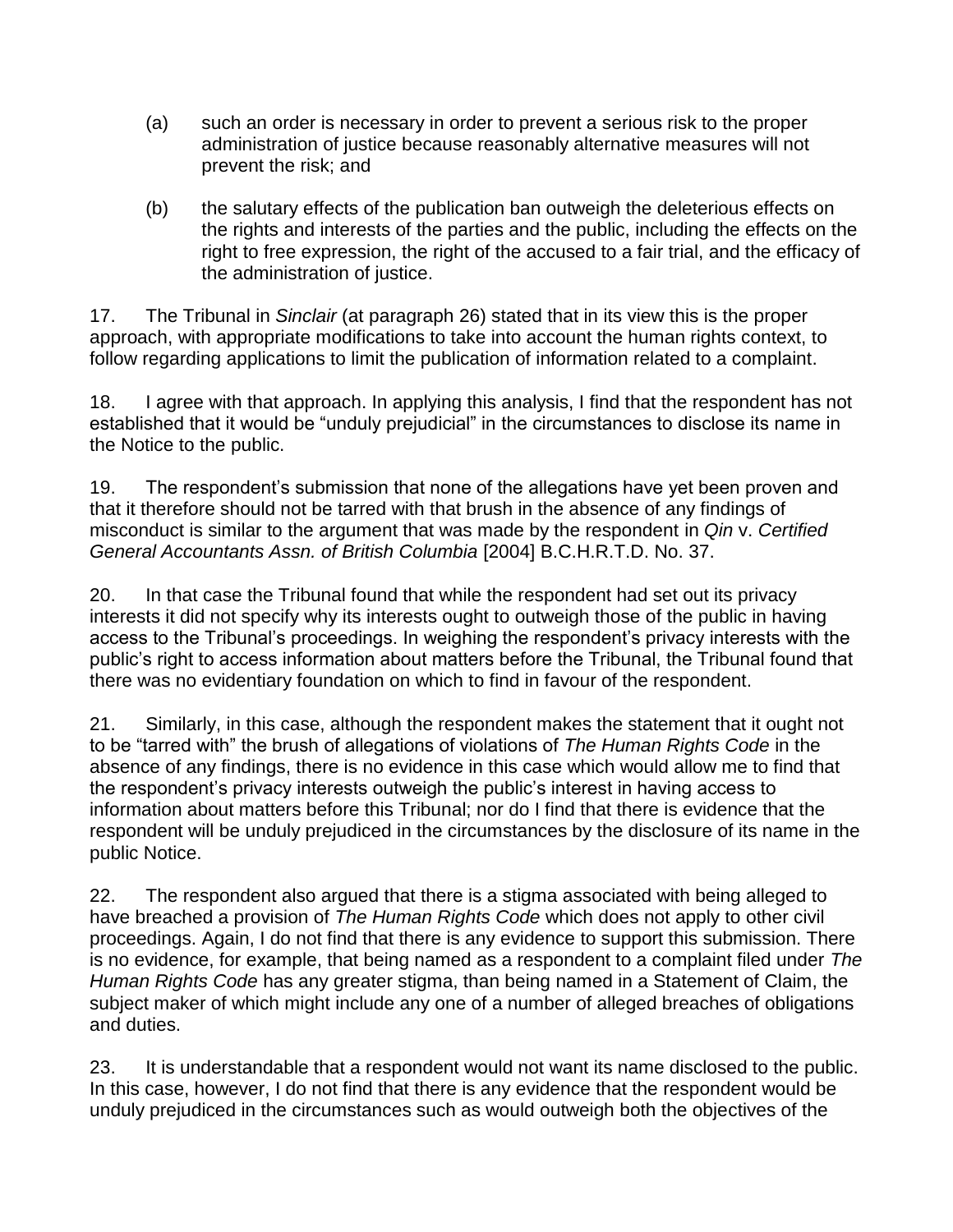- (a) such an order is necessary in order to prevent a serious risk to the proper administration of justice because reasonably alternative measures will not prevent the risk; and
- (b) the salutary effects of the publication ban outweigh the deleterious effects on the rights and interests of the parties and the public, including the effects on the right to free expression, the right of the accused to a fair trial, and the efficacy of the administration of justice.

17. The Tribunal in *Sinclair* (at paragraph 26) stated that in its view this is the proper approach, with appropriate modifications to take into account the human rights context, to follow regarding applications to limit the publication of information related to a complaint.

18. I agree with that approach. In applying this analysis, I find that the respondent has not established that it would be "unduly prejudicial" in the circumstances to disclose its name in the Notice to the public.

19. The respondent's submission that none of the allegations have yet been proven and that it therefore should not be tarred with that brush in the absence of any findings of misconduct is similar to the argument that was made by the respondent in *Qin* v. *Certified General Accountants Assn. of British Columbia* [2004] B.C.H.R.T.D. No. 37.

20. In that case the Tribunal found that while the respondent had set out its privacy interests it did not specify why its interests ought to outweigh those of the public in having access to the Tribunal's proceedings. In weighing the respondent's privacy interests with the public's right to access information about matters before the Tribunal, the Tribunal found that there was no evidentiary foundation on which to find in favour of the respondent.

21. Similarly, in this case, although the respondent makes the statement that it ought not to be "tarred with" the brush of allegations of violations of *The Human Rights Code* in the absence of any findings, there is no evidence in this case which would allow me to find that the respondent's privacy interests outweigh the public's interest in having access to information about matters before this Tribunal; nor do I find that there is evidence that the respondent will be unduly prejudiced in the circumstances by the disclosure of its name in the public Notice.

22. The respondent also argued that there is a stigma associated with being alleged to have breached a provision of *The Human Rights Code* which does not apply to other civil proceedings. Again, I do not find that there is any evidence to support this submission. There is no evidence, for example, that being named as a respondent to a complaint filed under *The Human Rights Code* has any greater stigma, than being named in a Statement of Claim, the subject maker of which might include any one of a number of alleged breaches of obligations and duties.

23. It is understandable that a respondent would not want its name disclosed to the public. In this case, however, I do not find that there is any evidence that the respondent would be unduly prejudiced in the circumstances such as would outweigh both the objectives of the